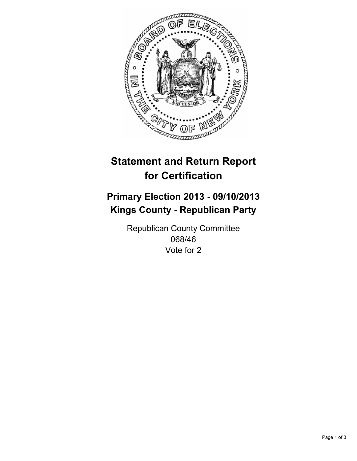

# **Statement and Return Report for Certification**

# **Primary Election 2013 - 09/10/2013 Kings County - Republican Party**

Republican County Committee 068/46 Vote for 2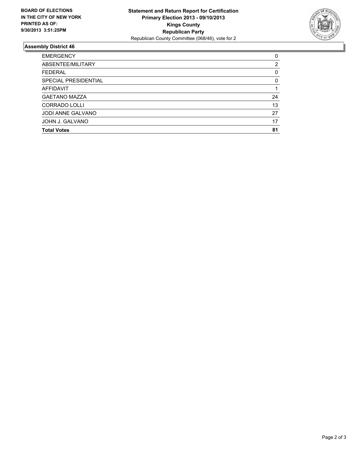

## **Assembly District 46**

| ABSENTEE/MILITARY<br>2<br><b>FEDERAL</b><br>0<br>SPECIAL PRESIDENTIAL<br>0<br><b>AFFIDAVIT</b><br><b>GAETANO MAZZA</b><br>24<br><b>CORRADO LOLLI</b><br>13<br><b>JODI ANNE GALVANO</b><br>27<br>JOHN J. GALVANO<br>17<br>81<br><b>Total Votes</b> | <b>EMERGENCY</b> | 0 |
|---------------------------------------------------------------------------------------------------------------------------------------------------------------------------------------------------------------------------------------------------|------------------|---|
|                                                                                                                                                                                                                                                   |                  |   |
|                                                                                                                                                                                                                                                   |                  |   |
|                                                                                                                                                                                                                                                   |                  |   |
|                                                                                                                                                                                                                                                   |                  |   |
|                                                                                                                                                                                                                                                   |                  |   |
|                                                                                                                                                                                                                                                   |                  |   |
|                                                                                                                                                                                                                                                   |                  |   |
|                                                                                                                                                                                                                                                   |                  |   |
|                                                                                                                                                                                                                                                   |                  |   |